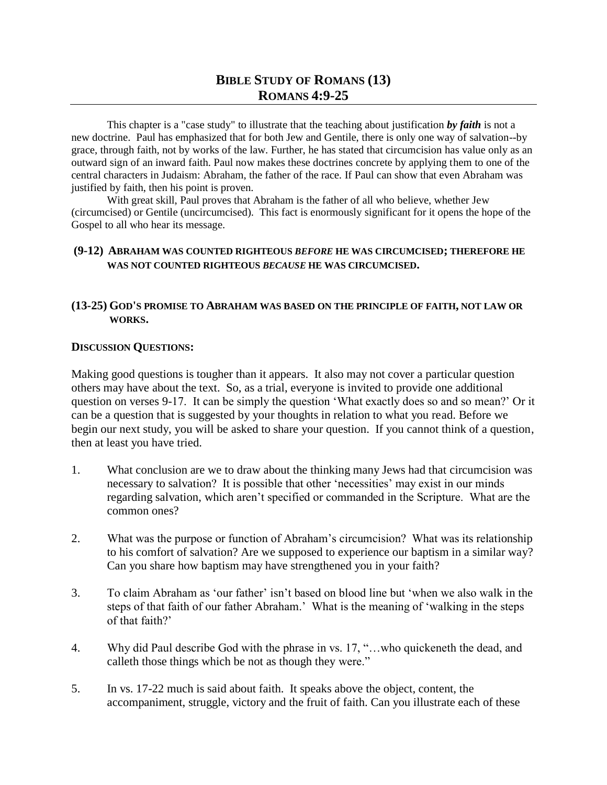## **BIBLE STUDY OF ROMANS (13) ROMANS 4:9-25**

This chapter is a "case study" to illustrate that the teaching about justification *by faith* is not a new doctrine. Paul has emphasized that for both Jew and Gentile, there is only one way of salvation--by grace, through faith, not by works of the law. Further, he has stated that circumcision has value only as an outward sign of an inward faith. Paul now makes these doctrines concrete by applying them to one of the central characters in Judaism: Abraham, the father of the race. If Paul can show that even Abraham was justified by faith, then his point is proven.

With great skill, Paul proves that Abraham is the father of all who believe, whether Jew (circumcised) or Gentile (uncircumcised). This fact is enormously significant for it opens the hope of the Gospel to all who hear its message.

## **(9-12) ABRAHAM WAS COUNTED RIGHTEOUS** *BEFORE* **HE WAS CIRCUMCISED; THEREFORE HE WAS NOT COUNTED RIGHTEOUS** *BECAUSE* **HE WAS CIRCUMCISED.**

## **(13-25) GOD'S PROMISE TO ABRAHAM WAS BASED ON THE PRINCIPLE OF FAITH, NOT LAW OR WORKS.**

## **DISCUSSION QUESTIONS:**

Making good questions is tougher than it appears. It also may not cover a particular question others may have about the text. So, as a trial, everyone is invited to provide one additional question on verses 9-17. It can be simply the question 'What exactly does so and so mean?' Or it can be a question that is suggested by your thoughts in relation to what you read. Before we begin our next study, you will be asked to share your question. If you cannot think of a question, then at least you have tried.

- 1. What conclusion are we to draw about the thinking many Jews had that circumcision was necessary to salvation? It is possible that other 'necessities' may exist in our minds regarding salvation, which aren't specified or commanded in the Scripture. What are the common ones?
- 2. What was the purpose or function of Abraham's circumcision? What was its relationship to his comfort of salvation? Are we supposed to experience our baptism in a similar way? Can you share how baptism may have strengthened you in your faith?
- 3. To claim Abraham as 'our father' isn't based on blood line but 'when we also walk in the steps of that faith of our father Abraham.' What is the meaning of 'walking in the steps of that faith?'
- 4. Why did Paul describe God with the phrase in vs. 17, "…who quickeneth the dead, and calleth those things which be not as though they were."
- 5. In vs. 17-22 much is said about faith. It speaks above the object, content, the accompaniment, struggle, victory and the fruit of faith. Can you illustrate each of these